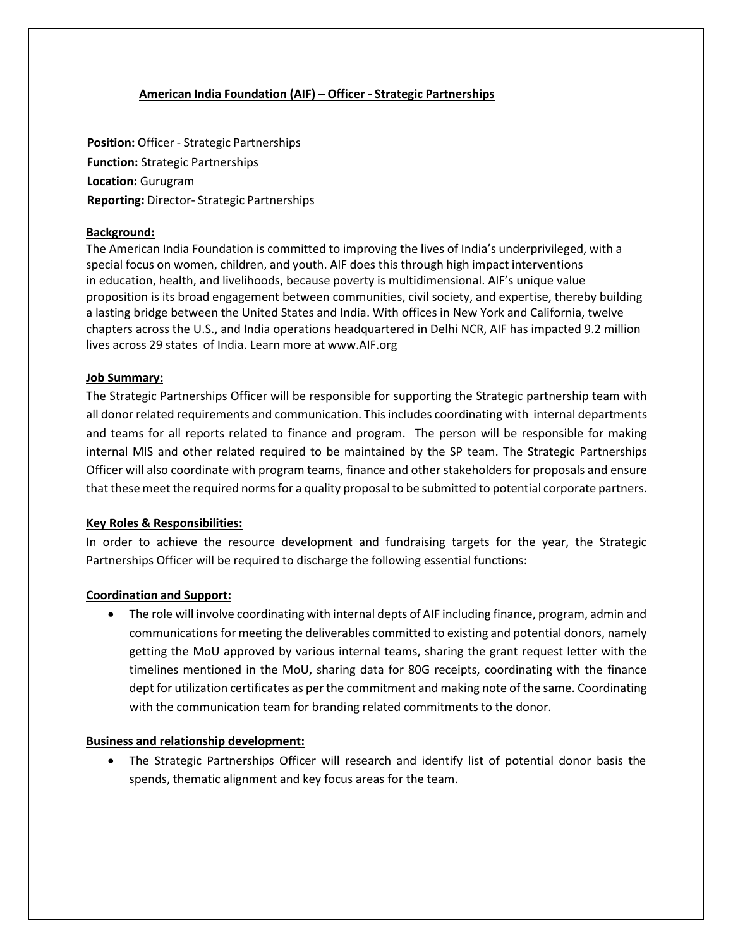## **American India Foundation (AIF) – Officer - Strategic Partnerships**

**Position:** Officer - Strategic Partnerships **Function:** Strategic Partnerships **Location:** Gurugram **Reporting:** Director- Strategic Partnerships

## **Background:**

The American India Foundation is committed to improving the lives of India's underprivileged, with a special focus on women, children, and youth. AIF does this through high impact interventions in education, health, and livelihoods, because poverty is multidimensional. AIF's unique value proposition is its broad engagement between communities, civil society, and expertise, thereby building a lasting bridge between the United States and India. With offices in New York and California, twelve chapters across the U.S., and India operations headquartered in Delhi NCR, AIF has impacted 9.2 million lives across 29 states of India. Learn more at [www.AIF.org](http://www.aif.org/)

### **Job Summary:**

The Strategic Partnerships Officer will be responsible for supporting the Strategic partnership team with all donor related requirements and communication. Thisincludes coordinating with internal departments and teams for all reports related to finance and program. The person will be responsible for making internal MIS and other related required to be maintained by the SP team. The Strategic Partnerships Officer will also coordinate with program teams, finance and other stakeholders for proposals and ensure that these meet the required norms for a quality proposal to be submitted to potential corporate partners.

### **Key Roles & Responsibilities:**

In order to achieve the resource development and fundraising targets for the year, the Strategic Partnerships Officer will be required to discharge the following essential functions:

## **Coordination and Support:**

• The role will involve coordinating with internal depts of AIF including finance, program, admin and communications for meeting the deliverables committed to existing and potential donors, namely getting the MoU approved by various internal teams, sharing the grant request letter with the timelines mentioned in the MoU, sharing data for 80G receipts, coordinating with the finance dept for utilization certificates as per the commitment and making note of the same. Coordinating with the communication team for branding related commitments to the donor.

### **Business and relationship development:**

• The Strategic Partnerships Officer will research and identify list of potential donor basis the spends, thematic alignment and key focus areas for the team.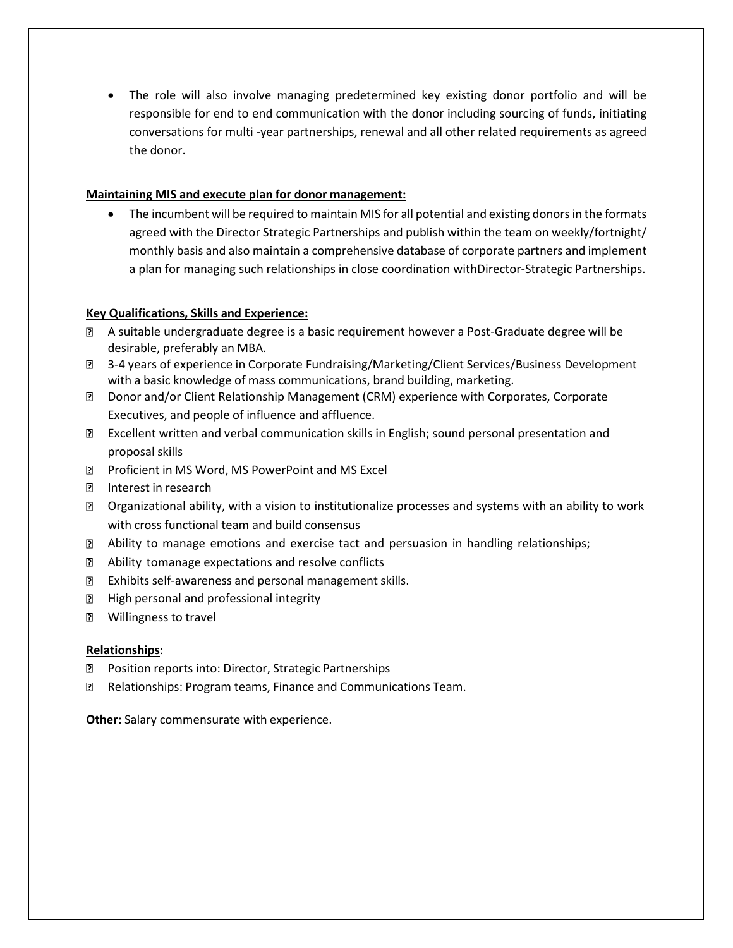• The role will also involve managing predetermined key existing donor portfolio and will be responsible for end to end communication with the donor including sourcing of funds, initiating conversations for multi -year partnerships, renewal and all other related requirements as agreed the donor.

# **Maintaining MIS and execute plan for donor management:**

• The incumbent will be required to maintain MIS for all potential and existing donors in the formats agreed with the Director Strategic Partnerships and publish within the team on weekly/fortnight/ monthly basis and also maintain a comprehensive database of corporate partners and implement a plan for managing such relationships in close coordination withDirector-Strategic Partnerships.

# **Key Qualifications, Skills and Experience:**

- A suitable undergraduate degree is a basic requirement however a Post-Graduate degree will be desirable, preferably an MBA.
- 3-4 years of experience in Corporate Fundraising/Marketing/Client Services/Business Development with a basic knowledge of mass communications, brand building, marketing.
- Donor and/or Client Relationship Management (CRM) experience with Corporates, Corporate Executives, and people of influence and affluence.
- Excellent written and verbal communication skills in English; sound personal presentation and proposal skills
- **Proficient in MS Word, MS PowerPoint and MS Excel**
- Interest in research
- Organizational ability, with a vision to institutionalize processes and systems with an ability to work with cross functional team and build consensus
- Ability to manage emotions and exercise tact and persuasion in handling relationships;
- $\overline{2}$ Ability tomanage expectations and resolve conflicts
- Exhibits self-awareness and personal management skills.
- **E** High personal and professional integrity
- **2** Willingness to travel

## **Relationships**:

- Position reports into: Director, Strategic Partnerships 2
- $\overline{2}$ Relationships: Program teams, Finance and Communications Team.

**Other:** Salary commensurate with experience.